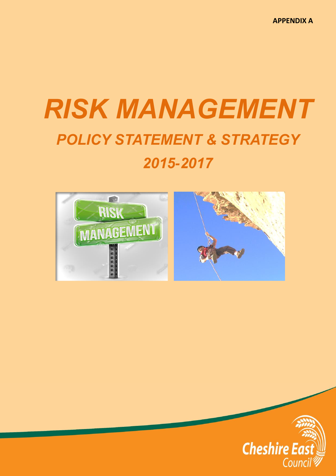**APPENDIX A**

# *RISK MANAGEMENT POLICY STATEMENT & STRATEGY 2015-2017*



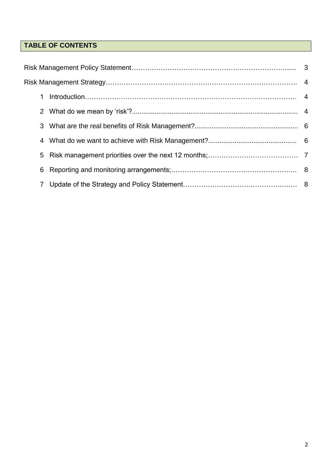# **TABLE OF CONTENTS**

|  | 1 |  |  |  |  |  |  |
|--|---|--|--|--|--|--|--|
|  |   |  |  |  |  |  |  |
|  |   |  |  |  |  |  |  |
|  | 4 |  |  |  |  |  |  |
|  | 5 |  |  |  |  |  |  |
|  | 6 |  |  |  |  |  |  |
|  |   |  |  |  |  |  |  |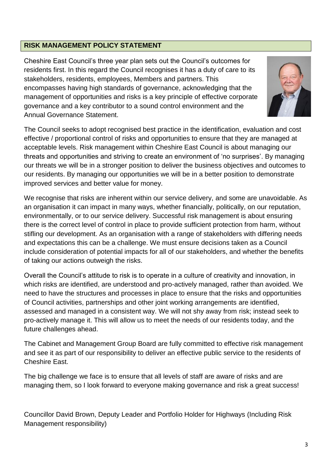# **RISK MANAGEMENT POLICY STATEMENT**

Cheshire East Council's three year plan sets out the Council's outcomes for residents first. In this regard the Council recognises it has a duty of care to its stakeholders, residents, employees, Members and partners. This encompasses having high standards of governance, acknowledging that the management of opportunities and risks is a key principle of effective corporate governance and a key contributor to a sound control environment and the Annual Governance Statement.



The Council seeks to adopt recognised best practice in the identification, evaluation and cost effective / proportional control of risks and opportunities to ensure that they are managed at acceptable levels. Risk management within Cheshire East Council is about managing our threats and opportunities and striving to create an environment of 'no surprises'. By managing our threats we will be in a stronger position to deliver the business objectives and outcomes to our residents. By managing our opportunities we will be in a better position to demonstrate improved services and better value for money.

We recognise that risks are inherent within our service delivery, and some are unavoidable. As an organisation it can impact in many ways, whether financially, politically, on our reputation, environmentally, or to our service delivery. Successful risk management is about ensuring there is the correct level of control in place to provide sufficient protection from harm, without stifling our development. As an organisation with a range of stakeholders with differing needs and expectations this can be a challenge. We must ensure decisions taken as a Council include consideration of potential impacts for all of our stakeholders, and whether the benefits of taking our actions outweigh the risks.

Overall the Council's attitude to risk is to operate in a culture of creativity and innovation, in which risks are identified, are understood and pro-actively managed, rather than avoided. We need to have the structures and processes in place to ensure that the risks and opportunities of Council activities, partnerships and other joint working arrangements are identified, assessed and managed in a consistent way. We will not shy away from risk; instead seek to pro-actively manage it. This will allow us to meet the needs of our residents today, and the future challenges ahead.

The Cabinet and Management Group Board are fully committed to effective risk management and see it as part of our responsibility to deliver an effective public service to the residents of Cheshire East.

The big challenge we face is to ensure that all levels of staff are aware of risks and are managing them, so I look forward to everyone making governance and risk a great success!

Councillor David Brown, Deputy Leader and Portfolio Holder for Highways (Including Risk Management responsibility)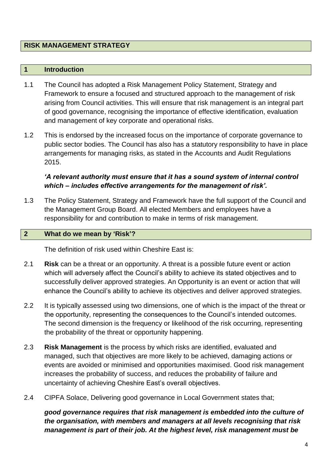## **RISK MANAGEMENT STRATEGY**

#### **1 Introduction**

- 1.1 The Council has adopted a Risk Management Policy Statement, Strategy and Framework to ensure a focused and structured approach to the management of risk arising from Council activities. This will ensure that risk management is an integral part of good governance, recognising the importance of effective identification, evaluation and management of key corporate and operational risks.
- 1.2 This is endorsed by the increased focus on the importance of corporate governance to public sector bodies. The Council has also has a statutory responsibility to have in place arrangements for managing risks, as stated in the Accounts and Audit Regulations 2015.

# *'A relevant authority must ensure that it has a sound system of internal control which – includes effective arrangements for the management of risk'.*

1.3 The Policy Statement, Strategy and Framework have the full support of the Council and the Management Group Board. All elected Members and employees have a responsibility for and contribution to make in terms of risk management.

#### **2 What do we mean by 'Risk'?**

The definition of risk used within Cheshire East is:

- 2.1 **Risk** can be a threat or an opportunity. A threat is a possible future event or action which will adversely affect the Council's ability to achieve its stated objectives and to successfully deliver approved strategies. An Opportunity is an event or action that will enhance the Council's ability to achieve its objectives and deliver approved strategies.
- 2.2 It is typically assessed using two dimensions, one of which is the impact of the threat or the opportunity, representing the consequences to the Council's intended outcomes. The second dimension is the frequency or likelihood of the risk occurring, representing the probability of the threat or opportunity happening.
- 2.3 **Risk Management** is the process by which risks are identified, evaluated and managed, such that objectives are more likely to be achieved, damaging actions or events are avoided or minimised and opportunities maximised. Good risk management increases the probability of success, and reduces the probability of failure and uncertainty of achieving Cheshire East's overall objectives.
- 2.4 CIPFA Solace, Delivering good governance in Local Government states that;

*good governance requires that risk management is embedded into the culture of the organisation, with members and managers at all levels recognising that risk management is part of their job. At the highest level, risk management must be*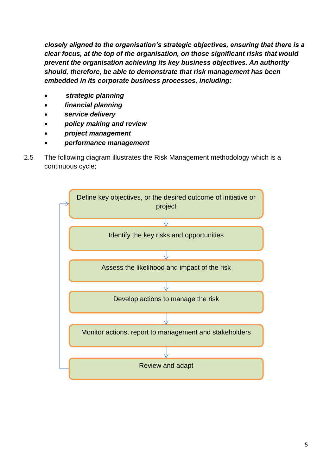*closely aligned to the organisation's strategic objectives, ensuring that there is a clear focus, at the top of the organisation, on those significant risks that would prevent the organisation achieving its key business objectives. An authority should, therefore, be able to demonstrate that risk management has been embedded in its corporate business processes, including:*

- *strategic planning*
- *financial planning*
- *service delivery*
- *policy making and review*
- *project management*
- *performance management*
- 2.5 The following diagram illustrates the Risk Management methodology which is a continuous cycle;

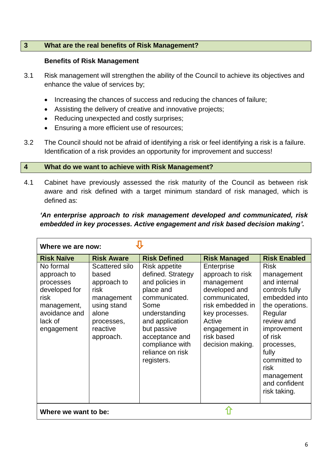#### **3 What are the real benefits of Risk Management?**

#### **Benefits of Risk Management**

- 3.1 Risk management will strengthen the ability of the Council to achieve its objectives and enhance the value of services by;
	- Increasing the chances of success and reducing the chances of failure;
	- Assisting the delivery of creative and innovative projects;
	- Reducing unexpected and costly surprises;
	- Ensuring a more efficient use of resources;
- 3.2 The Council should not be afraid of identifying a risk or feel identifying a risk is a failure. Identification of a risk provides an opportunity for improvement and success!

#### **4 What do we want to achieve with Risk Management?**

4.1 Cabinet have previously assessed the risk maturity of the Council as between risk aware and risk defined with a target minimum standard of risk managed, which is defined as:

# *'An enterprise approach to risk management developed and communicated, risk embedded in key processes. Active engagement and risk based decision making'.*

| Where we are now:                                                                                                       |                                                                                                                             |                                                                                                                                                                                                                       |                                                                                                                                                                                   |                                                                                                                                                                                                                                                  |  |  |  |  |
|-------------------------------------------------------------------------------------------------------------------------|-----------------------------------------------------------------------------------------------------------------------------|-----------------------------------------------------------------------------------------------------------------------------------------------------------------------------------------------------------------------|-----------------------------------------------------------------------------------------------------------------------------------------------------------------------------------|--------------------------------------------------------------------------------------------------------------------------------------------------------------------------------------------------------------------------------------------------|--|--|--|--|
| <b>Risk Naïve</b>                                                                                                       | <b>Risk Aware</b>                                                                                                           | <b>Risk Defined</b>                                                                                                                                                                                                   | <b>Risk Managed</b>                                                                                                                                                               | <b>Risk Enabled</b>                                                                                                                                                                                                                              |  |  |  |  |
| No formal<br>approach to<br>processes<br>developed for<br>risk<br>management,<br>avoidance and<br>lack of<br>engagement | Scattered silo<br>based<br>approach to<br>risk<br>management<br>using stand<br>alone<br>processes,<br>reactive<br>approach. | Risk appetite<br>defined. Strategy<br>and policies in<br>place and<br>communicated.<br>Some<br>understanding<br>and application<br>but passive<br>acceptance and<br>compliance with<br>reliance on risk<br>registers. | Enterprise<br>approach to risk<br>management<br>developed and<br>communicated,<br>risk embedded in<br>key processes.<br>Active<br>engagement in<br>risk based<br>decision making. | <b>Risk</b><br>management<br>and internal<br>controls fully<br>embedded into<br>the operations.<br>Regular<br>review and<br>improvement<br>of risk<br>processes,<br>fully<br>committed to<br>risk<br>management<br>and confident<br>risk taking. |  |  |  |  |
| Where we want to be:                                                                                                    |                                                                                                                             |                                                                                                                                                                                                                       |                                                                                                                                                                                   |                                                                                                                                                                                                                                                  |  |  |  |  |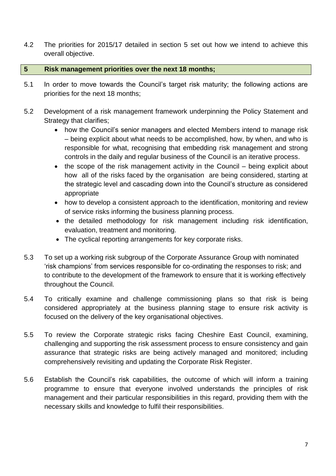4.2 The priorities for 2015/17 detailed in section 5 set out how we intend to achieve this overall objective.

## **5 Risk management priorities over the next 18 months;**

- 5.1 In order to move towards the Council's target risk maturity; the following actions are priorities for the next 18 months;
- 5.2 Development of a risk management framework underpinning the Policy Statement and Strategy that clarifies;
	- how the Council's senior managers and elected Members intend to manage risk – being explicit about what needs to be accomplished, how, by when, and who is responsible for what, recognising that embedding risk management and strong controls in the daily and regular business of the Council is an iterative process.
	- the scope of the risk management activity in the Council being explicit about how all of the risks faced by the organisation are being considered, starting at the strategic level and cascading down into the Council's structure as considered appropriate
	- how to develop a consistent approach to the identification, monitoring and review of service risks informing the business planning process.
	- the detailed methodology for risk management including risk identification, evaluation, treatment and monitoring.
	- The cyclical reporting arrangements for key corporate risks.
- 5.3 To set up a working risk subgroup of the Corporate Assurance Group with nominated 'risk champions' from services responsible for co-ordinating the responses to risk; and to contribute to the development of the framework to ensure that it is working effectively throughout the Council.
- 5.4 To critically examine and challenge commissioning plans so that risk is being considered appropriately at the business planning stage to ensure risk activity is focused on the delivery of the key organisational objectives.
- 5.5 To review the Corporate strategic risks facing Cheshire East Council, examining, challenging and supporting the risk assessment process to ensure consistency and gain assurance that strategic risks are being actively managed and monitored; including comprehensively revisiting and updating the Corporate Risk Register.
- 5.6 Establish the Council's risk capabilities, the outcome of which will inform a training programme to ensure that everyone involved understands the principles of risk management and their particular responsibilities in this regard, providing them with the necessary skills and knowledge to fulfil their responsibilities.